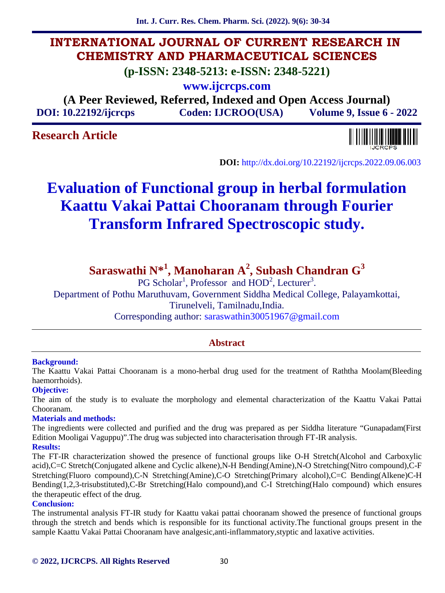**Int. J. Curr. Res. Chem. Pharm. Sci. (2022). 9(6): 30-34**

## **INTERNATIONAL JOURNAL OF CURRENT RESEARCH IN CHEMISTRY AND PHARMACEUTICAL SCIENCES**

**(p-ISSN: 2348-5213: e-ISSN: 2348-5221)**

**www.ijcrcps.com**

**(A Peer Reviewed, Referred, Indexed and Open Access Journal) DOI: 10.22192/ijcrcps Coden: IJCROO(USA) Volume 9, Issue 6 - 2022**

## **Research Article**



**DOI:** http://dx.doi.org/10.22192/ijcrcps.2022.09.06.003

# **Evaluation of Functional group in herbal formulation Kaattu Vakai Pattai Chooranam through Fourier Transform Infrared Spectroscopic study.**

## **Saraswathi N\*<sup>1</sup> , Manoharan A<sup>2</sup> , Subash Chandran G<sup>3</sup>**

PG Scholar<sup>1</sup>, Professor and HOD<sup>2</sup>, Lecturer<sup>3</sup>.

Department of Pothu Maruthuvam, Government Siddha Medical College, Palayamkottai, Tirunelveli, Tamilnadu,India.

Corresponding author: saraswathin30051967@gmail.com

## **Abstract**

#### **Background:**

The Kaattu Vakai Pattai Chooranam is a mono-herbal drug used for the treatment of Raththa Moolam(Bleeding haemorrhoids).

#### **Objective:**

The aim of the study is to evaluate the morphology and elemental characterization of the Kaattu Vakai Pattai Chooranam.

#### **Materials and methods:**

The ingredients were collected and purified and the drug was prepared as per Siddha literature "Gunapadam(First Edition Mooligai Vaguppu)".The drug was subjected into characterisation through FT-IR analysis.

#### **Results:**

The FT-IR characterization showed the presence of functional groups like O-H Stretch(Alcohol and Carboxylic acid),C=C Stretch(Conjugated alkene and Cyclic alkene),N-H Bending(Amine),N-O Stretching(Nitro compound),C-F Stretching(Fluoro compound),C-N Stretching(Amine),C-O Stretching(Primary alcohol),C=C Bending(Alkene)C-H Bending(1,2,3-trisubstituted),C-Br Stretching(Halo compound),and C-I Stretching(Halo compound) which ensures the therapeutic effect of the drug.

#### **Conclusion:**

The instrumental analysis FT-IR study for Kaattu vakai pattai chooranam showed the presence of functional groups through the stretch and bends which is responsible for its functional activity.The functional groups present in the sample Kaattu Vakai Pattai Chooranam have analgesic,anti-inflammatory,styptic and laxative activities.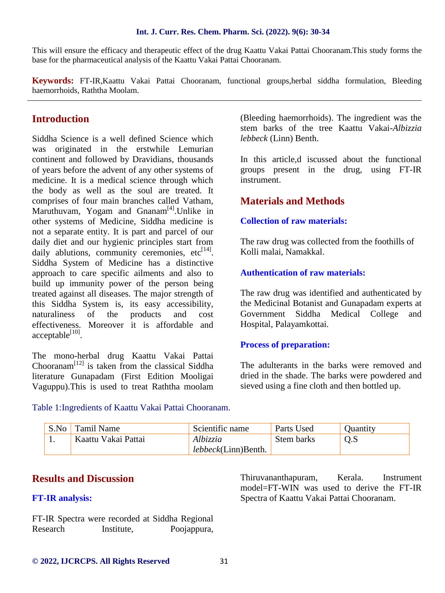#### **Int. J. Curr. Res. Chem. Pharm. Sci. (2022). 9(6): 30-34**

This will ensure the efficacy and therapeutic effect of the drug Kaattu Vakai Pattai Chooranam.This study forms the base for the pharmaceutical analysis of the Kaattu Vakai Pattai Chooranam.

**Keywords:** FT-IR,Kaattu Vakai Pattai Chooranam, functional groups,herbal siddha formulation, Bleeding haemorrhoids, Raththa Moolam.

## **Introduction**

Siddha Science is a well defined Science which was originated in the erstwhile Lemurian continent and followed by Dravidians, thousands of years before the advent of any other systems of medicine. It is a medical science through which the body as well as the soul are treated. It comprises of four main branches called Vatham, Maruthuvam, Yogam and Gnanam<sup>[4]</sup>.Unlike in other systems of Medicine, Siddha medicine is not a separate entity. It is part and parcel of our daily diet and our hygienic principles start from daily ablutions, community ceremonies,  $etc^{[14]}$ . Siddha System of Medicine has a distinctive approach to care specific ailments and also to build up immunity power of the person being treated against all diseases. The major strength of this Siddha System is, its easy accessibility, naturaliness of the products and cost effectiveness. Moreover it is affordable and  $acceptable<sup>[10]</sup>$ .

The mono-herbal drug Kaattu Vakai Pattai Chooranam<sup>[12]</sup> is taken from the classical Siddha literature Gunapadam (First Edition Mooligai Vaguppu).This is used to treat Raththa moolam (Bleeding haemorrhoids). The ingredient was the stem barks of the tree Kaattu Vakai-*Albizzia lebbeck* (Linn) Benth.

In this article,d iscussed about the functional groups present in the drug, using FT-IR instrument.

## **Materials and Methods**

#### **Collection of raw materials:**

The raw drug was collected from the foothills of Kolli malai, Namakkal.

#### **Authentication of raw materials:**

The raw drug was identified and authenticated by the Medicinal Botanist and Gunapadam experts at Government Siddha Medical College and Hospital, Palayamkottai.

#### **Process of preparation:**

The adulterants in the barks were removed and dried in the shade. The barks were powdered and sieved using a fine cloth and then bottled up.

Table 1:Ingredients of Kaattu Vakai Pattai Chooranam.

| S.No | Tamil Name          | Scientific name             | Parts Used | Ouantity |
|------|---------------------|-----------------------------|------------|----------|
|      | Kaattu Vakai Pattai | Albizzia                    | Stem barks |          |
|      |                     | <i>lebbeck</i> (Linn)Benth. |            |          |

## **Results and Discussion**

#### **FT-IR analysis:**

FT-IR Spectra were recorded at Siddha Regional Research Institute, Poojappura, Thiruvananthapuram, Kerala. Instrument model=FT-WIN was used to derive the FT-IR Spectra of Kaattu Vakai Pattai Chooranam.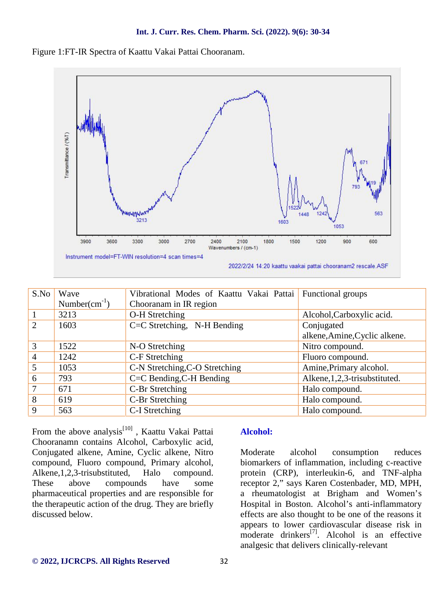



| S.No           | Wave               | Vibrational Modes of Kaattu Vakai Pattai Functional groups |                                 |
|----------------|--------------------|------------------------------------------------------------|---------------------------------|
|                | Number $(cm^{-1})$ | Chooranam in IR region                                     |                                 |
|                | 3213               | O-H Stretching                                             | Alcohol, Carboxylic acid.       |
| 2              | 1603               | C=C Stretching, N-H Bending                                | Conjugated                      |
|                |                    |                                                            | alkene, Amine, Cyclic alkene.   |
| 3              | 1522               | N-O Stretching                                             | Nitro compound.                 |
| $\overline{4}$ | 1242               | C-F Stretching                                             | Fluoro compound.                |
| 5              | 1053               | C-N Stretching, C-O Stretching                             | Amine, Primary alcohol.         |
| 6              | 793                | C=C Bending, C-H Bending                                   | Alkene, 1, 2, 3-trisubstituted. |
| $\tau$         | 671                | C-Br Stretching                                            | Halo compound.                  |
| 8              | 619                | C-Br Stretching                                            | Halo compound.                  |
| 9              | 563                | C-I Stretching                                             | Halo compound.                  |

From the above analysis<sup>[10]</sup>, Kaattu Vakai Pattai Chooranamn contains Alcohol, Carboxylic acid, Conjugated alkene, Amine, Cyclic alkene, Nitro compound, Fluoro compound, Primary alcohol, Alkene,1,2,3-trisubstituted, Halo compound. These above compounds have some pharmaceutical properties and are responsible for the therapeutic action of the drug. They are briefly discussed below.

#### **Alcohol:**

alcohol consumption reduces biomarkers of inflammation, including c-reactive protein (CRP), interleukin-6, and TNF-alpha receptor 2," says Karen Costenbader, MD, MPH, a rheumatologist at Brigham and Women's Hospital in Boston. Alcohol's anti-inflammatory effects are also thought to be one of the reasons it appears to lower cardiovascular disease risk in moderate drinkers<sup>[7]</sup>. Alcohol is an effective analgesic that delivers clinically-relevant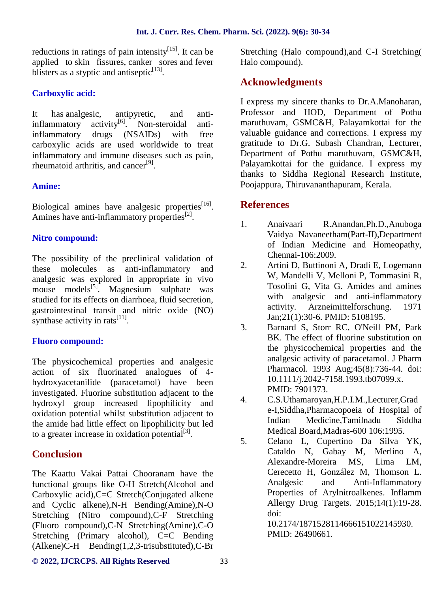reductions in ratings of pain intensity $[15]$ . It can be applied to skin fissures, canker sores and fever blisters as a styptic and antiseptic $[13]$ .

## **Carboxylic acid:**

It has analgesic, antipyretic, and anti $inflammatory$  activity<sup>[6]</sup>. Non-steroidal antiinflammatory drugs (NSAIDs) with free carboxylic acids are used worldwide to treat inflammatory and immune diseases such as pain, rheumatoid arthritis, and cancer<sup>[9]</sup>.

### **Amine:**

Biological amines have analgesic properties $^{[16]}$ . Amines have anti-inflammatory properties $^{[2]}$ .

#### **Nitro compound:**

The possibility of the preclinical validation of these molecules as anti-inflammatory and 2. analgesic was explored in appropriate in vivo mouse models $^{[5]}$ . Magnesium sulphate was studied for its effects on diarrhoea, fluid secretion, gastrointestinal transit and nitric oxide (NO) synthase activity in rats $^{[11]}$ .

### **Fluoro compound:**

The physicochemical properties and analgesic action of six fluorinated analogues of 4 hydroxyacetanilide (paracetamol) have been investigated. Fluorine substitution adjacent to the<br>hydrogyle arguments increased. Finantilizity, and  $\frac{4}{100}$ . hydroxyl group increased lipophilicity and oxidation potential whilst substitution adjacent to the amide had little effect on lipophilicity but led to a greater increase in oxidation potential $^{[3]}$ .

## **Conclusion**

The Kaattu Vakai Pattai Chooranam have the functional groups like O-H Stretch(Alcohol and Carboxylic acid),C=C Stretch(Conjugated alkene and Cyclic alkene),N-H Bending(Amine),N-O Stretching (Nitro compound),C-F Stretching (Fluoro compound),C-N Stretching(Amine),C-O Stretching (Primary alcohol), C=C Bending  $(Alkene)$ C-H Bending $(1,2,3$ -trisubstituted),C-Br

Stretching (Halo compound),and C-I Stretching( Halo compound).

## **Acknowledgments**

I express my sincere thanks to Dr.A.Manoharan, Professor and HOD, Department of Pothu maruthuvam, GSMC&H, Palayamkottai for the valuable guidance and corrections. I express my gratitude to Dr.G. Subash Chandran, Lecturer, Department of Pothu maruthuvam, GSMC&H, Palayamkottai for the guidance. I express my thanks to Siddha Regional Research Institute, Poojappura, Thiruvananthapuram, Kerala.

## **References**

- 1. Anaivaari R.Anandan,Ph.D.,Anuboga Vaidya Navaneetham(Part-II),Department of Indian Medicine and Homeopathy, Chennai-106:2009.
- 2. Artini D, Buttinoni A, Dradi E, Logemann W, Mandelli V, Melloni P, Tommasini R, Tosolini G, Vita G. Amides and amines with analgesic and anti-inflammatory activity. Arzneimittelforschung. 1971 Jan;21(1):30-6. PMID: 5108195.
- 3. Barnard S, Storr RC, O'Neill PM, Park BK. The effect of fluorine substitution on the physicochemical properties and the analgesic activity of paracetamol. J Pharm Pharmacol. 1993 Aug;45(8):736-44. doi: 10.1111/j.2042-7158.1993.tb07099.x. PMID: 7901373.
- 4. C.S.Uthamaroyan,H.P.I.M.,Lecturer,Grad e-I,Siddha,Pharmacopoeia of Hospital of Indian Medicine,Tamilnadu Siddha Medical Board,Madras-600 106:1995.
- 5. Celano L, Cupertino Da Silva YK, Cataldo N, Gabay M, Merlino A, Alexandre-Moreira MS, Lima LM, Cerecetto H, González M, Thomson L. Analgesic and Anti-Inflammatory Properties of Arylnitroalkenes. Inflamm Allergy Drug Targets. 2015;14(1):19-28. doi:

10.2174/1871528114666151022145930. PMID: 26490661.

#### **© 2022, IJCRCPS. All Rights Reserved** 33